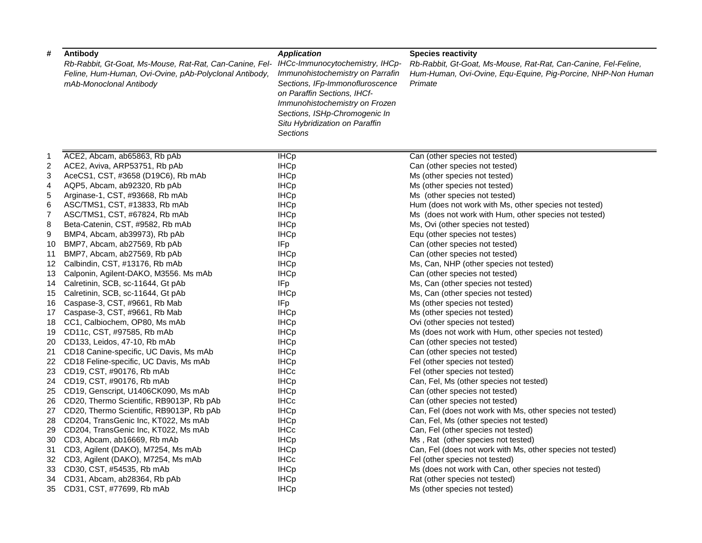| #              | Antibody<br>Rb-Rabbit, Gt-Goat, Ms-Mouse, Rat-Rat, Can-Canine, Fel-<br>Feline, Hum-Human, Ovi-Ovine, pAb-Polyclonal Antibody,<br>mAb-Monoclonal Antibody | <b>Application</b><br>IHCc-Immunocytochemistry, IHCp-<br>Immunohistochemistry on Parrafin<br>Sections, IFp-Immonofluroscence<br>on Paraffin Sections, IHCf-<br>Immunohistochemistry on Frozen<br>Sections, ISHp-Chromogenic In<br>Situ Hybridization on Paraffin<br><b>Sections</b> | <b>Species reactivity</b><br>Rb-Rabbit, Gt-Goat, Ms-Mouse, Rat-Rat, Can-Canine, Fel-Feline,<br>Hum-Human, Ovi-Ovine, Equ-Equine, Pig-Porcine, NHP-Non Human<br>Primate |
|----------------|----------------------------------------------------------------------------------------------------------------------------------------------------------|-------------------------------------------------------------------------------------------------------------------------------------------------------------------------------------------------------------------------------------------------------------------------------------|------------------------------------------------------------------------------------------------------------------------------------------------------------------------|
| -1             | ACE2, Abcam, ab65863, Rb pAb                                                                                                                             | <b>IHCp</b>                                                                                                                                                                                                                                                                         | Can (other species not tested)                                                                                                                                         |
| $\overline{c}$ | ACE2, Aviva, ARP53751, Rb pAb                                                                                                                            | <b>IHCp</b>                                                                                                                                                                                                                                                                         | Can (other species not tested)                                                                                                                                         |
| 3              | AceCS1, CST, #3658 (D19C6), Rb mAb                                                                                                                       | <b>IHCp</b>                                                                                                                                                                                                                                                                         | Ms (other species not tested)                                                                                                                                          |
| 4              | AQP5, Abcam, ab92320, Rb pAb                                                                                                                             | <b>IHCp</b>                                                                                                                                                                                                                                                                         | Ms (other species not tested)                                                                                                                                          |
| 5              | Arginase-1, CST, #93668, Rb mAb                                                                                                                          | <b>IHCp</b>                                                                                                                                                                                                                                                                         | Ms (other species not tested)                                                                                                                                          |
| 6              | ASC/TMS1, CST, #13833, Rb mAb                                                                                                                            | <b>IHCp</b>                                                                                                                                                                                                                                                                         | Hum (does not work with Ms, other species not tested)                                                                                                                  |
| $\overline{7}$ | ASC/TMS1, CST, #67824, Rb mAb                                                                                                                            | <b>IHCp</b>                                                                                                                                                                                                                                                                         | Ms (does not work with Hum, other species not tested)                                                                                                                  |
| 8              | Beta-Catenin, CST, #9582, Rb mAb                                                                                                                         | <b>IHCp</b>                                                                                                                                                                                                                                                                         | Ms, Ovi (other species not tested)                                                                                                                                     |
| 9              | BMP4, Abcam, ab39973), Rb pAb                                                                                                                            | <b>IHCp</b>                                                                                                                                                                                                                                                                         | Equ (other species not testes)                                                                                                                                         |
| 10             | BMP7, Abcam, ab27569, Rb pAb                                                                                                                             | IFp                                                                                                                                                                                                                                                                                 | Can (other species not tested)                                                                                                                                         |
| 11             | BMP7, Abcam, ab27569, Rb pAb                                                                                                                             | <b>IHCp</b>                                                                                                                                                                                                                                                                         | Can (other species not tested)                                                                                                                                         |
| 12             | Calbindin, CST, #13176, Rb mAb                                                                                                                           | <b>IHCp</b>                                                                                                                                                                                                                                                                         | Ms, Can, NHP (other species not tested)                                                                                                                                |
| 13             | Calponin, Agilent-DAKO, M3556. Ms mAb                                                                                                                    | <b>IHCp</b>                                                                                                                                                                                                                                                                         | Can (other species not tested)                                                                                                                                         |
| 14             | Calretinin, SCB, sc-11644, Gt pAb                                                                                                                        | IFp                                                                                                                                                                                                                                                                                 | Ms, Can (other species not tested)                                                                                                                                     |
| 15             | Calretinin, SCB, sc-11644, Gt pAb                                                                                                                        | <b>IHCp</b>                                                                                                                                                                                                                                                                         | Ms, Can (other species not tested)                                                                                                                                     |
| 16             | Caspase-3, CST, #9661, Rb Mab                                                                                                                            | IFp                                                                                                                                                                                                                                                                                 | Ms (other species not tested)                                                                                                                                          |
| 17             | Caspase-3, CST, #9661, Rb Mab                                                                                                                            | <b>IHCp</b>                                                                                                                                                                                                                                                                         | Ms (other species not tested)                                                                                                                                          |
| 18             | CC1, Calbiochem, OP80, Ms mAb                                                                                                                            | <b>IHCp</b>                                                                                                                                                                                                                                                                         | Ovi (other species not tested)                                                                                                                                         |
| 19             | CD11c, CST, #97585, Rb mAb                                                                                                                               | <b>IHCp</b>                                                                                                                                                                                                                                                                         | Ms (does not work with Hum, other species not tested)                                                                                                                  |
| 20             | CD133, Leidos, 47-10, Rb mAb                                                                                                                             | <b>IHCp</b>                                                                                                                                                                                                                                                                         | Can (other species not tested)                                                                                                                                         |
| 21             | CD18 Canine-specific, UC Davis, Ms mAb                                                                                                                   | <b>IHCp</b>                                                                                                                                                                                                                                                                         | Can (other species not tested)                                                                                                                                         |
| 22             | CD18 Feline-specific, UC Davis, Ms mAb                                                                                                                   | <b>IHCp</b>                                                                                                                                                                                                                                                                         | Fel (other species not tested)                                                                                                                                         |
| 23             | CD19, CST, #90176, Rb mAb                                                                                                                                | <b>IHCc</b>                                                                                                                                                                                                                                                                         | Fel (other species not tested)                                                                                                                                         |
| 24             | CD19, CST, #90176, Rb mAb                                                                                                                                | <b>IHCp</b>                                                                                                                                                                                                                                                                         | Can, Fel, Ms (other species not tested)                                                                                                                                |
| 25             | CD19, Genscript, U1406CK090, Ms mAb                                                                                                                      | <b>IHCp</b>                                                                                                                                                                                                                                                                         | Can (other species not tested)                                                                                                                                         |
| 26             | CD20, Thermo Scientific, RB9013P, Rb pAb                                                                                                                 | <b>IHCc</b>                                                                                                                                                                                                                                                                         | Can (other species not tested)                                                                                                                                         |
| 27             | CD20, Thermo Scientific, RB9013P, Rb pAb                                                                                                                 | <b>IHCp</b>                                                                                                                                                                                                                                                                         | Can, Fel (does not work with Ms, other species not tested)                                                                                                             |
| 28             | CD204, TransGenic Inc, KT022, Ms mAb                                                                                                                     | <b>IHCp</b>                                                                                                                                                                                                                                                                         | Can, Fel, Ms (other species not tested)                                                                                                                                |
| 29             | CD204, TransGenic Inc, KT022, Ms mAb                                                                                                                     | <b>IHCc</b>                                                                                                                                                                                                                                                                         | Can, Fel (other species not tested)                                                                                                                                    |
| 30             | CD3, Abcam, ab16669, Rb mAb                                                                                                                              | <b>IHCp</b>                                                                                                                                                                                                                                                                         | Ms, Rat (other species not tested)                                                                                                                                     |
| 31             | CD3, Agilent (DAKO), M7254, Ms mAb                                                                                                                       | <b>IHCp</b>                                                                                                                                                                                                                                                                         | Can, Fel (does not work with Ms, other species not tested)                                                                                                             |
|                | 32 CD3, Agilent (DAKO), M7254, Ms mAb                                                                                                                    | <b>IHCc</b>                                                                                                                                                                                                                                                                         | Fel (other species not tested)                                                                                                                                         |
| 33             | CD30, CST, #54535, Rb mAb                                                                                                                                | <b>IHCp</b>                                                                                                                                                                                                                                                                         | Ms (does not work with Can, other species not tested)                                                                                                                  |
| 34             | CD31, Abcam, ab28364, Rb pAb                                                                                                                             | <b>IHCp</b>                                                                                                                                                                                                                                                                         | Rat (other species not tested)                                                                                                                                         |
|                | 35 CD31, CST, #77699, Rb mAb                                                                                                                             | <b>IHCp</b>                                                                                                                                                                                                                                                                         | Ms (other species not tested)                                                                                                                                          |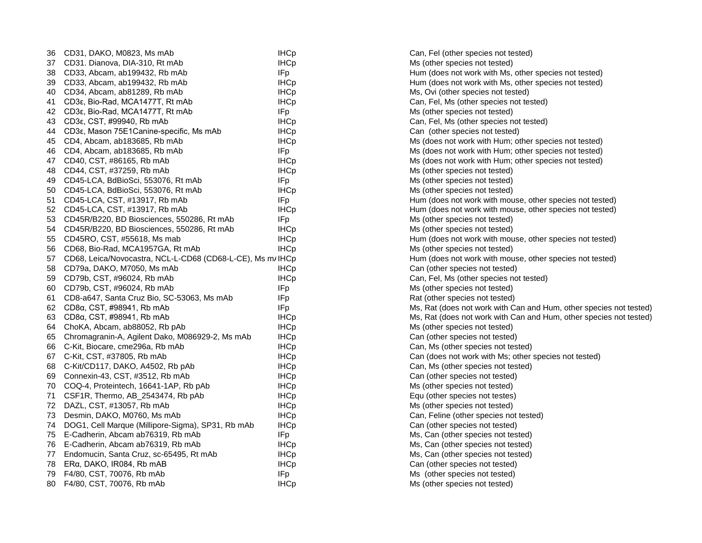| 36 | CD31, DAKO, M0823, Ms mAb                                  | <b>IHCp</b> | Can, Fel (other species not tested)                                |
|----|------------------------------------------------------------|-------------|--------------------------------------------------------------------|
| 37 | CD31. Dianova, DIA-310, Rt mAb                             | <b>IHCp</b> | Ms (other species not tested)                                      |
| 38 | CD33, Abcam, ab199432, Rb mAb                              | <b>IFp</b>  | Hum (does not work with Ms, other species not tested)              |
| 39 | CD33, Abcam, ab199432, Rb mAb                              | <b>IHCp</b> | Hum (does not work with Ms, other species not tested)              |
| 40 | CD34, Abcam, ab81289, Rb mAb                               | <b>IHCp</b> | Ms, Ovi (other species not tested)                                 |
| 41 | CD3ε, Bio-Rad, MCA1477T, Rt mAb                            | <b>IHCp</b> | Can, Fel, Ms (other species not tested)                            |
| 42 | CD3ε, Bio-Rad, MCA1477T, Rt mAb                            | IFp         | Ms (other species not tested)                                      |
| 43 | CD3ε, CST, #99940, Rb mAb                                  | <b>IHCp</b> | Can, Fel, Ms (other species not tested)                            |
| 44 | CD3ε, Mason 75E1 Canine-specific, Ms mAb                   | <b>IHCp</b> | Can (other species not tested)                                     |
| 45 | CD4, Abcam, ab183685, Rb mAb                               | <b>IHCp</b> | Ms (does not work with Hum; other species not tested)              |
| 46 | CD4, Abcam, ab183685, Rb mAb                               | <b>IFp</b>  | Ms (does not work with Hum; other species not tested)              |
| 47 | CD40, CST, #86165, Rb mAb                                  | <b>IHCp</b> | Ms (does not work with Hum; other species not tested)              |
| 48 | CD44, CST, #37259, Rb mAb                                  | <b>IHCp</b> | Ms (other species not tested)                                      |
| 49 | CD45-LCA, BdBioSci, 553076, Rt mAb                         | IFp         | Ms (other species not tested)                                      |
| 50 | CD45-LCA, BdBioSci, 553076, Rt mAb                         | <b>IHCp</b> | Ms (other species not tested)                                      |
| 51 | CD45-LCA, CST, #13917, Rb mAb                              | IFp         | Hum (does not work with mouse, other species not tested)           |
| 52 | CD45-LCA, CST, #13917, Rb mAb                              | <b>IHCp</b> | Hum (does not work with mouse, other species not tested)           |
| 53 | CD45R/B220, BD Biosciences, 550286, Rt mAb                 | IFp         | Ms (other species not tested)                                      |
| 54 | CD45R/B220, BD Biosciences, 550286, Rt mAb                 | <b>IHCp</b> | Ms (other species not tested)                                      |
| 55 | CD45RO, CST, #55618, Ms mab                                | <b>IHCp</b> | Hum (does not work with mouse, other species not tested)           |
| 56 | CD68, Bio-Rad, MCA1957GA, Rt mAb                           | <b>IHCp</b> | Ms (other species not tested)                                      |
| 57 | CD68, Leica/Novocastra, NCL-L-CD68 (CD68-L-CE), Ms m/ IHCp |             | Hum (does not work with mouse, other species not tested)           |
| 58 | CD79a, DAKO, M7050, Ms mAb                                 | <b>IHCp</b> | Can (other species not tested)                                     |
| 59 | CD79b, CST, #96024, Rb mAb                                 | <b>IHCp</b> | Can, Fel, Ms (other species not tested)                            |
| 60 | CD79b, CST, #96024, Rb mAb                                 | IFp         | Ms (other species not tested)                                      |
| 61 | CD8-a647, Santa Cruz Bio, SC-53063, Ms mAb                 | <b>IFp</b>  | Rat (other species not tested)                                     |
| 62 | CD8α, CST, #98941, Rb mAb                                  | IFp         | Ms, Rat (does not work with Can and Hum, other species not tested) |
| 63 | CD8α, CST, #98941, Rb mAb                                  | <b>IHCp</b> | Ms, Rat (does not work with Can and Hum, other species not tested) |
| 64 | ChoKA, Abcam, ab88052, Rb pAb                              | <b>IHCp</b> | Ms (other species not tested)                                      |
| 65 | Chromagranin-A, Agilent Dako, M086929-2, Ms mAb            | <b>IHCp</b> | Can (other species not tested)                                     |
| 66 | C-Kit, Biocare, cme296a, Rb mAb                            | <b>IHCp</b> | Can, Ms (other species not tested)                                 |
| 67 | C-Kit, CST, #37805, Rb mAb                                 | <b>IHCp</b> | Can (does not work with Ms; other species not tested)              |
| 68 | C-Kit/CD117, DAKO, A4502, Rb pAb                           | <b>IHCp</b> | Can, Ms (other species not tested)                                 |
| 69 | Connexin-43, CST, #3512, Rb mAb                            | <b>IHCp</b> | Can (other species not tested)                                     |
| 70 | COQ-4, Proteintech, 16641-1AP, Rb pAb                      | <b>IHCp</b> | Ms (other species not tested)                                      |
| 71 | CSF1R, Thermo, AB_2543474, Rb pAb                          | <b>IHCp</b> | Equ (other species not testes)                                     |
| 72 | DAZL, CST, #13057, Rb mAb                                  | <b>IHCp</b> | Ms (other species not tested)                                      |
| 73 | Desmin, DAKO, M0760, Ms mAb                                | <b>IHCp</b> | Can, Feline (other species not tested)                             |
| 74 | DOG1, Cell Marque (Millipore-Sigma), SP31, Rb mAb          | <b>IHCp</b> | Can (other species not tested)                                     |
| 75 | E-Cadherin, Abcam ab76319, Rb mAb                          | IFp.        | Ms, Can (other species not tested)                                 |
| 76 | E-Cadherin, Abcam ab76319, Rb mAb                          | <b>IHCp</b> | Ms, Can (other species not tested)                                 |
| 77 | Endomucin, Santa Cruz, sc-65495, Rt mAb                    | <b>IHCp</b> | Ms, Can (other species not tested)                                 |
| 78 | ERa, DAKO, IR084, Rb mAB                                   | <b>IHCp</b> | Can (other species not tested)                                     |
| 79 | F4/80, CST, 70076, Rb mAb                                  | <b>IFp</b>  | Ms (other species not tested)                                      |
| 80 | F4/80, CST, 70076, Rb mAb                                  | <b>IHCp</b> | Ms (other species not tested)                                      |
|    |                                                            |             |                                                                    |

| Can, Fel (other species not tested)                                |
|--------------------------------------------------------------------|
| Ms (other species not tested)                                      |
| Hum (does not work with Ms, other species not tested)              |
| Hum (does not work with Ms, other species not tested)              |
| Ms, Ovi (other species not tested)                                 |
| Can, Fel, Ms (other species not tested)                            |
| Ms (other species not tested)                                      |
| Can, Fel, Ms (other species not tested)                            |
| Can (other species not tested)                                     |
| Ms (does not work with Hum; other species not tested)              |
| Ms (does not work with Hum; other species not tested)              |
| Ms (does not work with Hum; other species not tested)              |
| Ms (other species not tested)                                      |
| Ms (other species not tested)                                      |
| Ms (other species not tested)                                      |
| Hum (does not work with mouse, other species not tested)           |
| Hum (does not work with mouse, other species not tested)           |
| Ms (other species not tested)                                      |
| Ms (other species not tested)                                      |
| Hum (does not work with mouse, other species not tested)           |
| Ms (other species not tested)                                      |
| Hum (does not work with mouse, other species not tested)           |
| Can (other species not tested)                                     |
| Can, Fel, Ms (other species not tested)                            |
| Ms (other species not tested)                                      |
| Rat (other species not tested)                                     |
| Ms, Rat (does not work with Can and Hum, other species not tested) |
| Ms, Rat (does not work with Can and Hum, other species not tested) |
| Ms (other species not tested)                                      |
| Can (other species not tested)                                     |
| Can, Ms (other species not tested)                                 |
| Can (does not work with Ms; other species not tested)              |
| Can, Ms (other species not tested)                                 |
| Can (other species not tested)                                     |
| Ms (other species not tested)                                      |
| Equ (other species not testes)                                     |
| Ms (other species not tested)                                      |
| Can, Feline (other species not tested)                             |
| Can (other species not tested)                                     |
| Ms, Can (other species not tested)                                 |
| Ms, Can (other species not tested)                                 |
| Ms, Can (other species not tested)                                 |
| Can (other species not tested)                                     |
| Ms (other species not tested)                                      |
| Ms (other species not tested)                                      |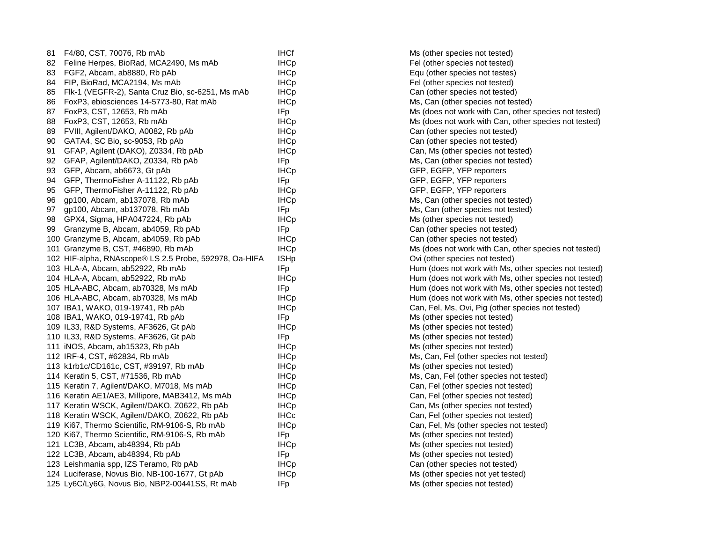| 81 | F4/80, CST, 70076, Rb mAb                              | <b>IHCf</b>     | Ms (other species not tested)                         |
|----|--------------------------------------------------------|-----------------|-------------------------------------------------------|
| 82 | Feline Herpes, BioRad, MCA2490, Ms mAb                 | <b>IHCp</b>     | Fel (other species not tested)                        |
| 83 | FGF2, Abcam, ab8880, Rb pAb                            | <b>IHCp</b>     | Equ (other species not testes)                        |
| 84 | FIP, BioRad, MCA2194, Ms mAb                           | <b>IHCp</b>     | Fel (other species not tested)                        |
|    | 85 Flk-1 (VEGFR-2), Santa Cruz Bio, sc-6251, Ms mAb    | <b>IHCp</b>     | Can (other species not tested)                        |
| 86 | FoxP3, ebiosciences 14-5773-80, Rat mAb                | <b>IHCp</b>     | Ms, Can (other species not tested)                    |
| 87 | FoxP3, CST, 12653, Rb mAb                              | IF <sub>p</sub> | Ms (does not work with Can, other species not tested) |
| 88 | FoxP3, CST, 12653, Rb mAb                              | <b>IHCp</b>     | Ms (does not work with Can, other species not tested) |
| 89 | FVIII, Agilent/DAKO, A0082, Rb pAb                     | <b>IHCp</b>     | Can (other species not tested)                        |
| 90 | GATA4, SC Bio, sc-9053, Rb pAb                         | <b>IHCp</b>     | Can (other species not tested)                        |
| 91 | GFAP, Agilent (DAKO), Z0334, Rb pAb                    | <b>IHCp</b>     | Can, Ms (other species not tested)                    |
| 92 | GFAP, Agilent/DAKO, Z0334, Rb pAb                      | <b>IFp</b>      | Ms, Can (other species not tested)                    |
| 93 | GFP, Abcam, ab6673, Gt pAb                             | <b>IHCp</b>     | GFP, EGFP, YFP reporters                              |
| 94 | GFP, ThermoFisher A-11122, Rb pAb                      | <b>IFp</b>      | GFP, EGFP, YFP reporters                              |
| 95 | GFP, ThermoFisher A-11122, Rb pAb                      | <b>IHCp</b>     | GFP, EGFP, YFP reporters                              |
| 96 | gp100, Abcam, ab137078, Rb mAb                         | <b>IHCp</b>     | Ms, Can (other species not tested)                    |
| 97 | gp100, Abcam, ab137078, Rb mAb                         | IFp             | Ms, Can (other species not tested)                    |
| 98 | GPX4, Sigma, HPA047224, Rb pAb                         | <b>IHCp</b>     | Ms (other species not tested)                         |
|    | 99 Granzyme B, Abcam, ab4059, Rb pAb                   | IFp.            | Can (other species not tested)                        |
|    | 100 Granzyme B, Abcam, ab4059, Rb pAb                  | <b>IHCp</b>     | Can (other species not tested)                        |
|    | 101 Granzyme B, CST, #46890, Rb mAb                    | <b>IHCp</b>     | Ms (does not work with Can, other species not tested) |
|    | 102 HIF-alpha, RNAscope® LS 2.5 Probe, 592978, Oa-HIFA | <b>ISHp</b>     | Ovi (other species not tested)                        |
|    | 103 HLA-A, Abcam, ab52922, Rb mAb                      | IFp             | Hum (does not work with Ms, other species not tested) |
|    | 104 HLA-A, Abcam, ab52922, Rb mAb                      | <b>IHCp</b>     | Hum (does not work with Ms, other species not tested) |
|    | 105 HLA-ABC, Abcam, ab70328, Ms mAb                    | IF <sub>p</sub> | Hum (does not work with Ms, other species not tested) |
|    | 106 HLA-ABC, Abcam, ab70328, Ms mAb                    | <b>IHCp</b>     | Hum (does not work with Ms, other species not tested) |
|    | 107 IBA1, WAKO, 019-19741, Rb pAb                      | <b>IHCp</b>     | Can, Fel, Ms, Ovi, Pig (other species not tested)     |
|    | 108 IBA1, WAKO, 019-19741, Rb pAb                      | <b>IFp</b>      | Ms (other species not tested)                         |
|    | 109 IL33, R&D Systems, AF3626, Gt pAb                  | <b>IHCp</b>     | Ms (other species not tested)                         |
|    | 110 IL33, R&D Systems, AF3626, Gt pAb                  | <b>IFp</b>      | Ms (other species not tested)                         |
|    | 111 iNOS, Abcam, ab15323, Rb pAb                       | <b>IHCp</b>     | Ms (other species not tested)                         |
|    | 112 IRF-4, CST, #62834, Rb mAb                         | <b>IHCp</b>     | Ms, Can, Fel (other species not tested)               |
|    | 113 k1rb1c/CD161c, CST, #39197, Rb mAb                 | <b>IHCp</b>     | Ms (other species not tested)                         |
|    | 114 Keratin 5, CST, #71536, Rb mAb                     | <b>IHCp</b>     | Ms, Can, Fel (other species not tested)               |
|    | 115 Keratin 7, Agilent/DAKO, M7018, Ms mAb             | <b>IHCp</b>     | Can, Fel (other species not tested)                   |
|    | 116 Keratin AE1/AE3, Millipore, MAB3412, Ms mAb        | <b>IHCp</b>     | Can, Fel (other species not tested)                   |
|    | 117 Keratin WSCK, Agilent/DAKO, Z0622, Rb pAb          | <b>IHCp</b>     | Can, Ms (other species not tested)                    |
|    | 118 Keratin WSCK, Agilent/DAKO, Z0622, Rb pAb          | <b>IHCc</b>     | Can, Fel (other species not tested)                   |
|    | 119 Ki67, Thermo Scientific, RM-9106-S, Rb mAb         | <b>IHCp</b>     | Can, Fel, Ms (other species not tested)               |
|    | 120 Ki67, Thermo Scientific, RM-9106-S, Rb mAb         | <b>IFp</b>      | Ms (other species not tested)                         |
|    | 121 LC3B, Abcam, ab48394, Rb pAb                       | <b>IHCp</b>     | Ms (other species not tested)                         |
|    | 122 LC3B, Abcam, ab48394, Rb pAb                       | IFp.            | Ms (other species not tested)                         |
|    | 123 Leishmania spp, IZS Teramo, Rb pAb                 | <b>IHCp</b>     | Can (other species not tested)                        |
|    | 124 Luciferase, Novus Bio, NB-100-1677, Gt pAb         | <b>IHCp</b>     | Ms (other species not yet tested)                     |
|    | 125 Ly6C/Ly6G, Novus Bio, NBP2-00441SS, Rt mAb         | IFp.            | Ms (other species not tested)                         |
|    |                                                        |                 |                                                       |

| Ms (other species not tested)                         |
|-------------------------------------------------------|
| Fel (other species not tested)                        |
| Equ (other species not testes)                        |
| Fel (other species not tested)                        |
| Can (other species not tested)                        |
| Ms, Can (other species not tested)                    |
| Ms (does not work with Can, other species not tested) |
| Ms (does not work with Can, other species not tested) |
| Can (other species not tested)                        |
| Can (other species not tested)                        |
| Can, Ms (other species not tested)                    |
| Ms, Can (other species not tested)                    |
| GFP, EGFP, YFP reporters                              |
| GFP, EGFP, YFP reporters                              |
| GFP, EGFP, YFP reporters                              |
| Ms, Can (other species not tested)                    |
| Ms, Can (other species not tested)                    |
| Ms (other species not tested)                         |
| Can (other species not tested)                        |
| Can (other species not tested)                        |
| Ms (does not work with Can, other species not tested) |
| Ovi (other species not tested)                        |
| Hum (does not work with Ms, other species not tested) |
| Hum (does not work with Ms, other species not tested) |
| Hum (does not work with Ms, other species not tested) |
| Hum (does not work with Ms, other species not tested) |
| Can, Fel, Ms, Ovi, Pig (other species not tested)     |
| Ms (other species not tested)                         |
| Ms (other species not tested)                         |
| Ms (other species not tested)                         |
| Ms (other species not tested)                         |
| Ms, Can, Fel (other species not tested)               |
| Ms (other species not tested)                         |
| Ms, Can, Fel (other species not tested)               |
| Can, Fel (other species not tested)                   |
| Can, Fel (other species not tested)                   |
| Can, Ms (other species not tested)                    |
| Can, Fel (other species not tested)                   |
| Can, Fel, Ms (other species not tested)               |
| Ms (other species not tested)                         |
| Ms (other species not tested)                         |
| Ms (other species not tested)                         |
| Can (other species not tested)                        |
| Ms (other species not yet tested)                     |
| Ms (other species not tested)                         |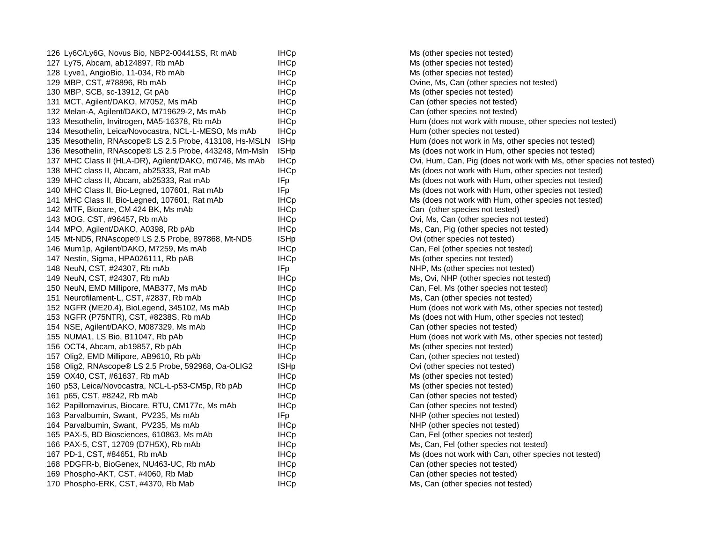| 126 Ly6C/Ly6G, Novus Bio, NBP2-00441SS, Rt mAb          | <b>IHCp</b>      |
|---------------------------------------------------------|------------------|
| 127 Ly75, Abcam, ab124897, Rb mAb                       | <b>IHCp</b>      |
| 128 Lyve1, AngioBio, 11-034, Rb mAb                     | <b>IHCp</b>      |
| 129 MBP, CST, #78896, Rb mAb                            | <b>IHCp</b>      |
| 130 MBP, SCB, sc-13912, Gt pAb                          | <b>IHCp</b>      |
| 131 MCT, Agilent/DAKO, M7052, Ms mAb                    | <b>IHCp</b>      |
| 132 Melan-A, Agilent/DAKO, M719629-2, Ms mAb            | <b>IHCp</b>      |
| 133 Mesothelin, Invitrogen, MA5-16378, Rb mAb           | <b>IHCp</b>      |
| 134 Mesothelin, Leica/Novocastra, NCL-L-MESO, Ms mAb    | <b>IHCp</b>      |
| 135 Mesothelin, RNAscope® LS 2.5 Probe, 413108, Hs-MSLN | <b>ISHp</b>      |
| 136 Mesothelin, RNAscope® LS 2.5 Probe, 443248, Mm-Msln | <b>ISHp</b>      |
| 137 MHC Class II (HLA-DR), Agilent/DAKO, m0746, Ms mAb  | <b>IHCp</b>      |
| 138 MHC class II, Abcam, ab25333, Rat mAb               | <b>IHCp</b>      |
| 139 MHC class II, Abcam, ab25333, Rat mAb               | IFp.             |
| 140 MHC Class II, Bio-Legned, 107601, Rat mAb           | IFp              |
| 141 MHC Class II, Bio-Legned, 107601, Rat mAb           | <b>IHCp</b>      |
| 142 MITF, Biocare, CM 424 BK, Ms mAb                    | <b>IHCp</b>      |
| 143 MOG, CST, #96457, Rb mAb                            | <b>IHCp</b>      |
| 144 MPO, Agilent/DAKO, A0398, Rb pAb                    | <b>IHCp</b>      |
| 145 Mt-ND5, RNAscope® LS 2.5 Probe, 897868, Mt-ND5      | <b>ISHp</b>      |
| 146 Mum1p, Agilent/DAKO, M7259, Ms mAb                  | <b>IHCp</b>      |
| 147 Nestin, Sigma, HPA026111, Rb pAB                    | IHC <sub>p</sub> |
| 148 NeuN, CST, #24307, Rb mAb                           | IFp              |
| 149 NeuN, CST, #24307, Rb mAb                           | <b>IHCp</b>      |
| 150 NeuN, EMD Millipore, MAB377, Ms mAb                 | <b>IHCp</b>      |
| 151 Neurofilament-L, CST, #2837, Rb mAb                 | <b>IHCp</b>      |
| 152 NGFR (ME20.4), BioLegend, 345102, Ms mAb            | <b>IHCp</b>      |
| 153 NGFR (P75NTR), CST, #8238S, Rb mAb                  | IHCp             |
| 154 NSE, Agilent/DAKO, M087329, Ms mAb                  | <b>IHCp</b>      |
| 155 NUMA1, LS Bio, B11047, Rb pAb                       | <b>IHCp</b>      |
| 156 OCT4, Abcam, ab19857, Rb pAb                        | <b>IHCp</b>      |
| 157 Olig2, EMD Millipore, AB9610, Rb pAb                | <b>IHCp</b>      |
| 158 Olig2, RNAscope® LS 2.5 Probe, 592968, Oa-OLIG2     | <b>ISHp</b>      |
| 159 OX40, CST, #61637, Rb mAb                           | <b>IHCp</b>      |
| 160 p53, Leica/Novocastra, NCL-L-p53-CM5p, Rb pAb       | <b>IHCp</b>      |
| 161 p65, CST, #8242, Rb mAb                             | <b>IHCp</b>      |
| 162 Papillomavirus, Biocare, RTU, CM177c, Ms mAb        | <b>IHCp</b>      |
| 163 Parvalbumin, Swant, PV235, Ms mAb                   | IFp              |
| 164 Parvalbumin, Swant, PV235, Ms mAb                   | <b>IHCp</b>      |
| 165 PAX-5, BD Biosciences, 610863, Ms mAb               | <b>IHCp</b>      |
| 166 PAX-5, CST, 12709 (D7H5X), Rb mAb                   | <b>IHCp</b>      |
| 167 PD-1, CST, #84651, Rb mAb                           | <b>IHCp</b>      |
| 168 PDGFR-b, BioGenex, NU463-UC, Rb mAb                 | <b>IHCp</b>      |
| 169 Phospho-AKT, CST, #4060, Rb Mab                     | <b>IHCp</b>      |
| 170 Phospho-ERK, CST, #4370, Rb Mab                     | <b>IHCp</b>      |

Ms (other species not tested) Ms (other species not tested) Ms (other species not tested) Ovine, Ms, Can (other species not tested) Ms (other species not tested) Can (other species not tested) Can (other species not tested) Hum (does not work with mouse, other species not tested) Hum (other species not tested) Hum (does not work in Ms, other species not tested) Ms (does not work in Hum, other species not tested) Ovi, Hum, Can, Pig (does not work with Ms, other species not tested) Ms (does not work with Hum, other species not tested) Ms (does not work with Hum, other species not tested) Ms (does not work with Hum, other species not tested) Ms (does not work with Hum, other species not tested) Can (other species not tested) Ovi, Ms, Can (other species not tested) Ms, Can, Pig (other species not tested) Ovi (other species not tested) Can, Fel (other species not tested) Ms (other species not tested) NHP, Ms (other species not tested) Ms, Ovi, NHP (other species not tested) Can, Fel, Ms (other species not tested) Ms, Can (other species not tested) Hum (does not work with Ms, other species not tested) Ms (does not with Hum, other species not tested) Can (other species not tested) Hum (does not work with Ms, other species not tested) Ms (other species not tested) Can, (other species not tested) Ovi (other species not tested) Ms (other species not tested) Ms (other species not tested) Can (other species not tested) Can (other species not tested) NHP (other species not tested) NHP (other species not tested) Can, Fel (other species not tested) Ms, Can, Fel (other species not tested) Ms (does not work with Can, other species not tested) Can (other species not tested) Can (other species not tested) Ms, Can (other species not tested)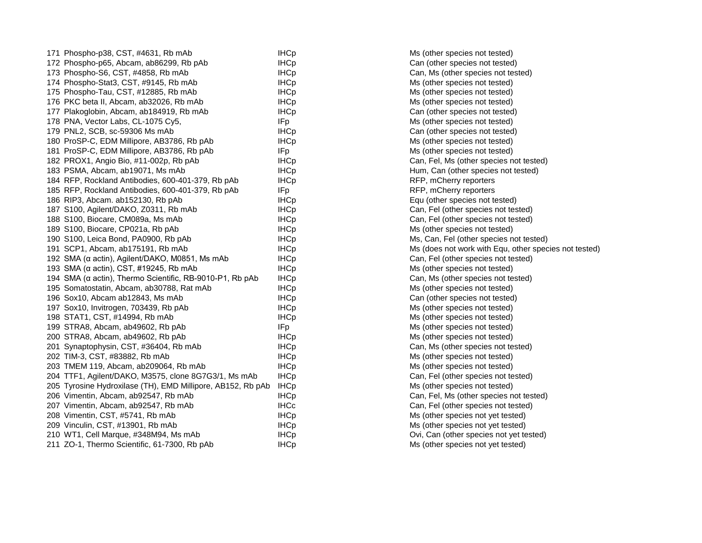| 171 Phospho-p38, CST, #4631, Rb mAb                         | <b>IHCp</b> |
|-------------------------------------------------------------|-------------|
| 172 Phospho-p65, Abcam, ab86299, Rb pAb                     | <b>IHCp</b> |
| 173 Phospho-S6, CST, #4858, Rb mAb                          | <b>IHCp</b> |
| 174 Phospho-Stat3, CST, #9145, Rb mAb                       | <b>IHCp</b> |
| 175 Phospho-Tau, CST, #12885, Rb mAb                        | <b>IHCp</b> |
| 176 PKC beta II, Abcam, ab32026, Rb mAb                     | <b>IHCp</b> |
| 177 Plakoglobin, Abcam, ab184919, Rb mAb                    | <b>IHCp</b> |
| 178 PNA, Vector Labs, CL-1075 Cy5,                          | IFp         |
| 179 PNL2, SCB, sc-59306 Ms mAb                              | <b>IHCp</b> |
| 180 ProSP-C, EDM Millipore, AB3786, Rb pAb                  | <b>IHCp</b> |
| 181 ProSP-C, EDM Millipore, AB3786, Rb pAb                  | IFp         |
| 182 PROX1, Angio Bio, #11-002p, Rb pAb                      | <b>IHCp</b> |
| 183 PSMA, Abcam, ab19071, Ms mAb                            | <b>IHCp</b> |
| 184 RFP, Rockland Antibodies, 600-401-379, Rb pAb           | <b>IHCp</b> |
| 185 RFP, Rockland Antibodies, 600-401-379, Rb pAb           | <b>IFp</b>  |
| 186 RIP3, Abcam. ab152130, Rb pAb                           | <b>IHCp</b> |
| 187 S100, Agilent/DAKO, Z0311, Rb mAb                       | <b>IHCp</b> |
| 188 S100, Biocare, CM089a, Ms mAb                           | <b>IHCp</b> |
| 189 S100, Biocare, CP021a, Rb pAb                           | <b>IHCp</b> |
| 190 S100, Leica Bond, PA0900, Rb pAb                        | <b>IHCp</b> |
| 191 SCP1, Abcam, ab175191, Rb mAb                           | <b>IHCp</b> |
| 192 SMA (α actin), Agilent/DAKO, M0851, Ms mAb              | <b>IHCp</b> |
| 193 SMA (α actin), CST, #19245, Rb mAb                      | <b>IHCp</b> |
| 194 SMA (α actin), Thermo Scientific, RB-9010-P1, Rb pAb    | <b>IHCp</b> |
| 195 Somatostatin, Abcam, ab30788, Rat mAb                   | <b>IHCp</b> |
| 196 Sox10, Abcam ab12843, Ms mAb                            | <b>IHCp</b> |
| 197 Sox10, Invitrogen, 703439, Rb pAb                       | <b>IHCp</b> |
| 198 STAT1, CST, #14994, Rb mAb                              | <b>IHCp</b> |
| 199 STRA8, Abcam, ab49602, Rb pAb                           | IFp         |
| 200 STRA8, Abcam, ab49602, Rb pAb                           | <b>IHCp</b> |
| 201 Synaptophysin, CST, #36404, Rb mAb                      | <b>IHCp</b> |
| 202 TIM-3, CST, #83882, Rb mAb                              | <b>IHCp</b> |
| 203 TMEM 119, Abcam, ab209064, Rb mAb                       | <b>IHCp</b> |
| 204 TTF1, Agilent/DAKO, M3575, clone 8G7G3/1, Ms mAb        | <b>IHCp</b> |
| 205 Tyrosine Hydroxilase (TH), EMD Millipore, AB152, Rb pAb | <b>IHCp</b> |
| 206 Vimentin, Abcam, ab92547, Rb mAb                        | <b>IHCp</b> |
| 207 Vimentin, Abcam, ab92547, Rb mAb                        | <b>IHCc</b> |
| 208 Vimentin, CST, #5741, Rb mAb                            | <b>IHCp</b> |
| 209 Vinculin, CST, #13901, Rb mAb                           | <b>IHCp</b> |
| 210 WT1, Cell Marque, #348M94, Ms mAb                       | <b>IHCp</b> |
| 211 ZO-1, Thermo Scientific, 61-7300, Rb pAb                | <b>IHCp</b> |

Ms (other species not tested) Can (other species not tested) Can, Ms (other species not tested) Ms (other species not tested) Ms (other species not tested) Ms (other species not tested) Can (other species not tested) Ms (other species not tested) Can (other species not tested) Ms (other species not tested) Ms (other species not tested) Can, Fel, Ms (other species not tested) Hum, Can (other species not tested) RFP, mCherry reporters RFP, mCherry reporters Equ (other species not tested) Can, Fel (other species not tested) Can, Fel (other species not tested) Ms (other species not tested) Ms, Can, Fel (other species not tested) Ms (does not work with Equ, other species not tested) Can, Fel (other species not tested) Ms (other species not tested) Can, Ms (other species not tested) Ms (other species not tested) Can (other species not tested) Ms (other species not tested) Ms (other species not tested) Ms (other species not tested) Ms (other species not tested) Can, Ms (other species not tested) Ms (other species not tested) Ms (other species not tested) Can, Fel (other species not tested) Ms (other species not tested) Can, Fel, Ms (other species not tested) Can, Fel (other species not tested) Ms (other species not yet tested) Ms (other species not yet tested) Ovi, Can (other species not yet tested) Ms (other species not yet tested)